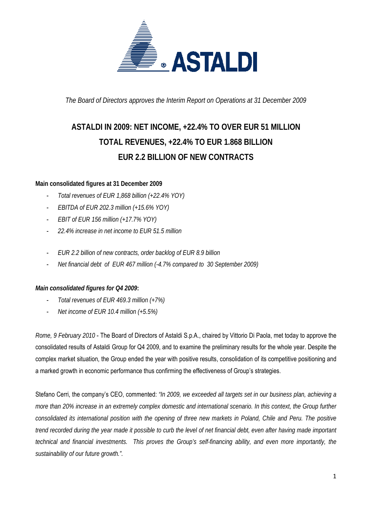

*The Board of Directors approves the Interim Report on Operations at 31 December 2009* 

# **ASTALDI IN 2009: NET INCOME, +22.4% TO OVER EUR 51 MILLION TOTAL REVENUES, +22.4% TO EUR 1.868 BILLION EUR 2.2 BILLION OF NEW CONTRACTS**

# **Main consolidated figures at 31 December 2009**

- *Total revenues of EUR 1,868 billion (+22.4% YOY)*
- *EBITDA of EUR 202.3 million (+15.6% YOY)*
- *EBIT of EUR 156 million (+17.7% YOY)*
- *22.4% increase in net income to EUR 51.5 million*
- *EUR 2.2 billion of new contracts, order backlog of EUR 8.9 billion*
- *Net financial debt of EUR 467 million (-4.7% compared to 30 September 2009)*

## *Main consolidated figures for Q4 2009***:**

- *Total revenues of EUR 469.3 million (+7%)*
- *Net income of EUR 10.4 million (+5.5%)*

*Rome, 9 February 2010* - The Board of Directors of Astaldi S.p.A., chaired by Vittorio Di Paola, met today to approve the consolidated results of Astaldi Group for Q4 2009, and to examine the preliminary results for the whole year. Despite the complex market situation, the Group ended the year with positive results, consolidation of its competitive positioning and a marked growth in economic performance thus confirming the effectiveness of Group's strategies.

Stefano Cerri, the company's CEO, commented: *"In 2009, we exceeded all targets set in our business plan, achieving a more than 20% increase in an extremely complex domestic and international scenario. In this context, the Group further consolidated its international position with the opening of three new markets in Poland, Chile and Peru. The positive trend recorded during the year made it possible to curb the level of net financial debt, even after having made important technical and financial investments. This proves the Group's self-financing ability, and even more importantly, the sustainability of our future growth.".*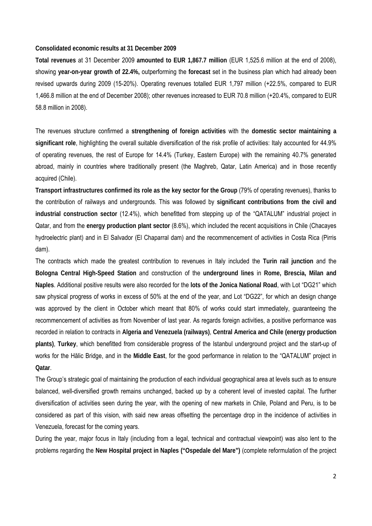#### **Consolidated economic results at 31 December 2009**

**Total revenues** at 31 December 2009 **amounted to EUR 1,867.7 million** (EUR 1,525.6 million at the end of 2008), showing **year-on-year growth of 22.4%,** outperforming the **forecast** set in the business plan which had already been revised upwards during 2009 (15-20%). Operating revenues totalled EUR 1,797 million (+22.5%, compared to EUR 1,466.8 million at the end of December 2008); other revenues increased to EUR 70.8 million (+20.4%, compared to EUR 58.8 million in 2008).

The revenues structure confirmed a **strengthening of foreign activities** with the **domestic sector maintaining a significant role**, highlighting the overall suitable diversification of the risk profile of activities: Italy accounted for 44.9% of operating revenues, the rest of Europe for 14.4% (Turkey, Eastern Europe) with the remaining 40.7% generated abroad, mainly in countries where traditionally present (the Maghreb, Qatar, Latin America) and in those recently acquired (Chile).

**Transport infrastructures confirmed its role as the key sector for the Group** (79% of operating revenues), thanks to the contribution of railways and undergrounds. This was followed by **significant contributions from the civil and industrial construction sector** (12.4%), which benefitted from stepping up of the "QATALUM" industrial project in Qatar, and from the **energy production plant sector** (8.6%), which included the recent acquisitions in Chile (Chacayes hydroelectric plant) and in El Salvador (El Chaparral dam) and the recommencement of activities in Costa Rica (Pirris dam).

The contracts which made the greatest contribution to revenues in Italy included the **Turin rail junction** and the **Bologna Central High-Speed Station** and construction of the **underground lines** in **Rome, Brescia, Milan and Naples**. Additional positive results were also recorded for the **lots of the Jonica National Road**, with Lot "DG21" which saw physical progress of works in excess of 50% at the end of the year, and Lot "DG22", for which an design change was approved by the client in October which meant that 80% of works could start immediately, guaranteeing the recommencement of activities as from November of last year. As regards foreign activities, a positive performance was recorded in relation to contracts in **Algeria and Venezuela (railways)**, **Central America and Chile (energy production plants)**, **Turkey**, which benefitted from considerable progress of the Istanbul underground project and the start-up of works for the Hălic Bridge, and in the **Middle East**, for the good performance in relation to the "QATALUM" project in **Qatar**.

The Group's strategic goal of maintaining the production of each individual geographical area at levels such as to ensure balanced, well-diversified growth remains unchanged, backed up by a coherent level of invested capital. The further diversification of activities seen during the year, with the opening of new markets in Chile, Poland and Peru, is to be considered as part of this vision, with said new areas offsetting the percentage drop in the incidence of activities in Venezuela, forecast for the coming years.

During the year, major focus in Italy (including from a legal, technical and contractual viewpoint) was also lent to the problems regarding the **New Hospital project in Naples ("Ospedale del Mare")** (complete reformulation of the project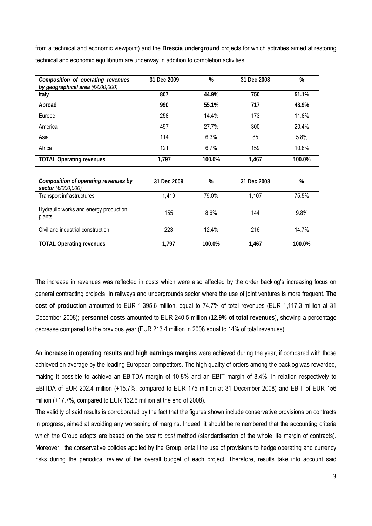from a technical and economic viewpoint) and the **Brescia underground** projects for which activities aimed at restoring technical and economic equilibrium are underway in addition to completion activities.

| Composition of operating revenues<br>by geographical area (£/000,000) | 31 Dec 2009 | %      | 31 Dec 2008 | %      |
|-----------------------------------------------------------------------|-------------|--------|-------------|--------|
| Italy                                                                 | 807         | 44.9%  | 750         | 51.1%  |
| Abroad                                                                | 990         | 55.1%  | 717         | 48.9%  |
| Europe                                                                | 258         | 14.4%  | 173         | 11.8%  |
| America                                                               | 497         | 27.7%  | 300         | 20.4%  |
| Asia                                                                  | 114         | 6.3%   | 85          | 5.8%   |
| Africa                                                                | 121         | 6.7%   | 159         | 10.8%  |
| <b>TOTAL Operating revenues</b>                                       | 1,797       | 100.0% | 1,467       | 100.0% |
|                                                                       |             |        |             |        |
| Composition of operating revenues by<br>sector (€/000,000)            | 31 Dec 2009 | %      | 31 Dec 2008 | %      |
| Transport infrastructures                                             | 1,419       | 79.0%  | 1,107       | 75.5%  |
| Hydraulic works and energy production<br>plants                       | 155         | 8.6%   | 144         | 9.8%   |
| Civil and industrial construction                                     | 223         | 12.4%  | 216         | 14.7%  |
| <b>TOTAL Operating revenues</b>                                       | 1,797       | 100.0% | 1,467       | 100.0% |

The increase in revenues was reflected in costs which were also affected by the order backlog's increasing focus on general contracting projects in railways and undergrounds sector where the use of joint ventures is more frequent. **The cost of production** amounted to EUR 1,395.6 million, equal to 74.7% of total revenues (EUR 1,117.3 million at 31 December 2008); **personnel costs** amounted to EUR 240.5 million (**12.9% of total revenues**), showing a percentage decrease compared to the previous year (EUR 213.4 million in 2008 equal to 14% of total revenues).

An **increase in operating results and high earnings margins** were achieved during the year, if compared with those achieved on average by the leading European competitors. The high quality of orders among the backlog was rewarded, making it possible to achieve an EBITDA margin of 10.8% and an EBIT margin of 8.4%, in relation respectively to EBITDA of EUR 202.4 million (+15.7%, compared to EUR 175 million at 31 December 2008) and EBIT of EUR 156 million (+17.7%, compared to EUR 132.6 million at the end of 2008).

The validity of said results is corroborated by the fact that the figures shown include conservative provisions on contracts in progress, aimed at avoiding any worsening of margins. Indeed, it should be remembered that the accounting criteria which the Group adopts are based on the *cost to cost* method (standardisation of the whole life margin of contracts). Moreover, the conservative policies applied by the Group, entail the use of provisions to hedge operating and currency risks during the periodical review of the overall budget of each project. Therefore, results take into account said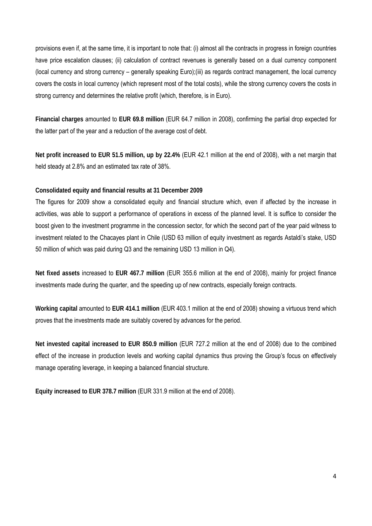provisions even if, at the same time, it is important to note that: (i) almost all the contracts in progress in foreign countries have price escalation clauses; (ii) calculation of contract revenues is generally based on a dual currency component (local currency and strong currency – generally speaking Euro);(iii) as regards contract management, the local currency covers the costs in local currency (which represent most of the total costs), while the strong currency covers the costs in strong currency and determines the relative profit (which, therefore, is in Euro).

**Financial charges** amounted to **EUR 69.8 million** (EUR 64.7 million in 2008), confirming the partial drop expected for the latter part of the year and a reduction of the average cost of debt.

**Net profit increased to EUR 51.5 million, up by 22.4%** (EUR 42.1 million at the end of 2008), with a net margin that held steady at 2.8% and an estimated tax rate of 38%.

#### **Consolidated equity and financial results at 31 December 2009**

The figures for 2009 show a consolidated equity and financial structure which, even if affected by the increase in activities, was able to support a performance of operations in excess of the planned level. It is suffice to consider the boost given to the investment programme in the concession sector, for which the second part of the year paid witness to investment related to the Chacayes plant in Chile (USD 63 million of equity investment as regards Astaldi's stake, USD 50 million of which was paid during Q3 and the remaining USD 13 million in Q4).

**Net fixed assets** increased to **EUR 467.7 million** (EUR 355.6 million at the end of 2008), mainly for project finance investments made during the quarter, and the speeding up of new contracts, especially foreign contracts.

**Working capital** amounted to **EUR 414.1 million** (EUR 403.1 million at the end of 2008) showing a virtuous trend which proves that the investments made are suitably covered by advances for the period.

**Net invested capital increased to EUR 850.9 million** (EUR 727.2 million at the end of 2008) due to the combined effect of the increase in production levels and working capital dynamics thus proving the Group's focus on effectively manage operating leverage, in keeping a balanced financial structure.

**Equity increased to EUR 378.7 million** (EUR 331.9 million at the end of 2008).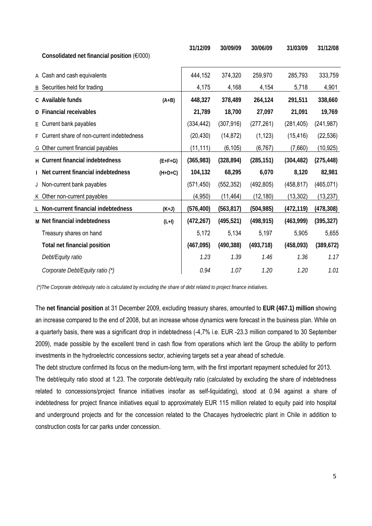| Consolidated net financial position $(E/000)$ |           | 31/12/09   | 30/09/09   | 30/06/09   | 31/03/09   | 31/12/08   |
|-----------------------------------------------|-----------|------------|------------|------------|------------|------------|
| A Cash and cash equivalents                   |           | 444,152    | 374,320    | 259,970    | 285,793    | 333,759    |
| B Securities held for trading                 |           | 4,175      | 4,168      | 4,154      | 5,718      | 4,901      |
| c Available funds                             | $(A+B)$   | 448,327    | 378,489    | 264,124    | 291,511    | 338,660    |
| D Financial receivables                       |           | 21,789     | 18,700     | 27,097     | 21,091     | 19,769     |
| E Current bank payables                       |           | (334, 442) | (307, 916) | (277, 261) | (281, 405) | (241, 987) |
| F Current share of non-current indebtedness   |           | (20, 430)  | (14, 872)  | (1, 123)   | (15, 416)  | (22, 536)  |
| G Other current financial payables            |           | (11, 111)  | (6, 105)   | (6, 767)   | (7,660)    | (10, 925)  |
| H Current financial indebtedness              | $(E+F+G)$ | (365, 983) | (328, 894) | (285, 151) | (304, 482) | (275, 448) |
| I Net current financial indebtedness          | $(H+D+C)$ | 104,132    | 68,295     | 6,070      | 8,120      | 82,981     |
| J Non-current bank payables                   |           | (571, 450) | (552, 352) | (492, 805) | (458, 817) | (465, 071) |
| K Other non-current payables                  |           | (4,950)    | (11, 464)  | (12, 180)  | (13, 302)  | (13, 237)  |
| L Non-current financial indebtedness          | $(K+J)$   | (576, 400) | (563, 817) | (504, 985) | (472, 119) | (478, 308) |
| M Net financial indebtedness                  | $(L+I)$   | (472, 267) | (495, 521) | (498, 915) | (463,999)  | (395, 327) |
| Treasury shares on hand                       |           | 5,172      | 5,134      | 5,197      | 5,905      | 5,655      |
| Total net financial position                  |           | (467, 095) | (490, 388) | (493, 718) | (458,093)  | (389, 672) |
| Debt/Equity ratio                             |           | 1.23       | 1.39       | 1.46       | 1.36       | 1.17       |
| Corporate Debt/Equity ratio (*)               |           | 0.94       | 1.07       | 1.20       | 1.20       | 1.01       |

 *(\*)The Corporate debt/equity ratio is calculated by excluding the share of debt related to project finance initiatives.* 

The **net financial position** at 31 December 2009, excluding treasury shares, amounted to **EUR (467.1) million** showing an increase compared to the end of 2008, but an increase whose dynamics were forecast in the business plan. While on a quarterly basis, there was a significant drop in indebtedness (-4,7% i.e. EUR -23.3 million compared to 30 September 2009), made possible by the excellent trend in cash flow from operations which lent the Group the ability to perform investments in the hydroelectric concessions sector, achieving targets set a year ahead of schedule.

The debt structure confirmed its focus on the medium-long term, with the first important repayment scheduled for 2013. The debt/equity ratio stood at 1.23. The corporate debt/equity ratio (calculated by excluding the share of indebtedness related to concessions/project finance initiatives insofar as self-liquidating), stood at 0.94 against a share of indebtedness for project finance initiatives equal to approximately EUR 115 million related to equity paid into hospital and underground projects and for the concession related to the Chacayes hydroelectric plant in Chile in addition to construction costs for car parks under concession.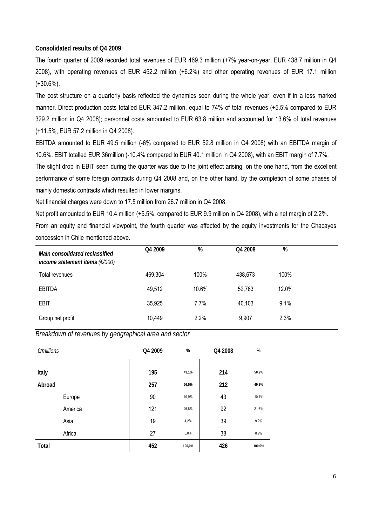### **Consolidated results of Q4 2009**

The fourth quarter of 2009 recorded total revenues of EUR 469.3 million (+7% year-on-year, EUR 438.7 million in Q4 2008), with operating revenues of EUR 452.2 million (+6.2%) and other operating revenues of EUR 17.1 million (+30.6%).

The cost structure on a quarterly basis reflected the dynamics seen during the whole year, even if in a less marked manner. Direct production costs totalled EUR 347.2 million, equal to 74% of total revenues (+5.5% compared to EUR 329.2 million in Q4 2008); personnel costs amounted to EUR 63.8 million and accounted for 13.6% of total revenues (+11.5%, EUR 57.2 million in Q4 2008).

EBITDA amounted to EUR 49.5 million (-6% compared to EUR 52.8 million in Q4 2008) with an EBITDA margin of 10.6%. EBIT totalled EUR 36million (-10.4% compared to EUR 40.1 million in Q4 2008), with an EBIT margin of 7.7%.

The slight drop in EBIT seen during the quarter was due to the joint effect arising, on the one hand, from the excellent performance of some foreign contracts during Q4 2008 and, on the other hand, by the completion of some phases of mainly domestic contracts which resulted in lower margins.

Net financial charges were down to 17.5 million from 26.7 million in Q4 2008.

Net profit amounted to EUR 10.4 million (+5.5%, compared to EUR 9.9 million in Q4 2008), with a net margin of 2.2%. From an equity and financial viewpoint, the fourth quarter was affected by the equity investments for the Chacayes concession in Chile mentioned above.

| Main consolidated reclassified<br>income statement items $(F/000)$ | Q4 2009 | %     | Q4 2008 | %     |
|--------------------------------------------------------------------|---------|-------|---------|-------|
| Total revenues                                                     | 469,304 | 100%  | 438,673 | 100%  |
| <b>EBITDA</b>                                                      | 49,512  | 10.6% | 52,763  | 12.0% |
| <b>EBIT</b>                                                        | 35,925  | 7.7%  | 40,103  | 9.1%  |
| Group net profit                                                   | 10,449  | 2.2%  | 9,907   | 2.3%  |

*Breakdown of revenues by geographical area and sector* 

| $E/m$ illions | Q4 2009 | $\%$   | Q4 2008 | %      |
|---------------|---------|--------|---------|--------|
|               |         |        |         |        |
| Italy         | 195     | 43,1%  | 214     | 50.2%  |
| Abroad        | 257     | 56,5%  | 212     | 49.8%  |
| Europe        | 90      | 19,9%  | 43      | 10.1%  |
| America       | 121     | 26,8%  | 92      | 21.6%  |
| Asia          | 19      | 4,2%   | 39      | 9.2%   |
| Africa        | 27      | 6,0%   | 38      | 8.9%   |
| <b>Total</b>  | 452     | 100,0% | 426     | 100.0% |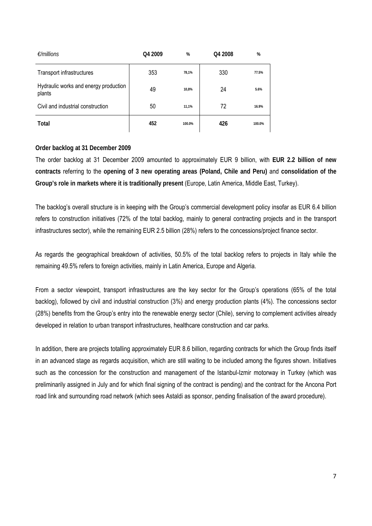| $\epsilon$ /millions                            | Q4 2009 | %      | Q4 2008 | %      |
|-------------------------------------------------|---------|--------|---------|--------|
| Transport infrastructures                       | 353     | 78,1%  | 330     | 77.5%  |
| Hydraulic works and energy production<br>plants | 49      | 10,8%  | 24      | 5.6%   |
| Civil and industrial construction               | 50      | 11,1%  | 72      | 16.9%  |
| Total                                           | 452     | 100.0% | 426     | 100.0% |

## **Order backlog at 31 December 2009**

The order backlog at 31 December 2009 amounted to approximately EUR 9 billion, with **EUR 2.2 billion of new contracts** referring to the **opening of 3 new operating areas (Poland, Chile and Peru)** and **consolidation of the Group's role in markets where it is traditionally present** (Europe, Latin America, Middle East, Turkey).

The backlog's overall structure is in keeping with the Group's commercial development policy insofar as EUR 6.4 billion refers to construction initiatives (72% of the total backlog, mainly to general contracting projects and in the transport infrastructures sector), while the remaining EUR 2.5 billion (28%) refers to the concessions/project finance sector.

As regards the geographical breakdown of activities, 50.5% of the total backlog refers to projects in Italy while the remaining 49.5% refers to foreign activities, mainly in Latin America, Europe and Algeria.

From a sector viewpoint, transport infrastructures are the key sector for the Group's operations (65% of the total backlog), followed by civil and industrial construction (3%) and energy production plants (4%). The concessions sector (28%) benefits from the Group's entry into the renewable energy sector (Chile), serving to complement activities already developed in relation to urban transport infrastructures, healthcare construction and car parks.

In addition, there are projects totalling approximately EUR 8.6 billion, regarding contracts for which the Group finds itself in an advanced stage as regards acquisition, which are still waiting to be included among the figures shown. Initiatives such as the concession for the construction and management of the Istanbul-Izmir motorway in Turkey (which was preliminarily assigned in July and for which final signing of the contract is pending) and the contract for the Ancona Port road link and surrounding road network (which sees Astaldi as sponsor, pending finalisation of the award procedure).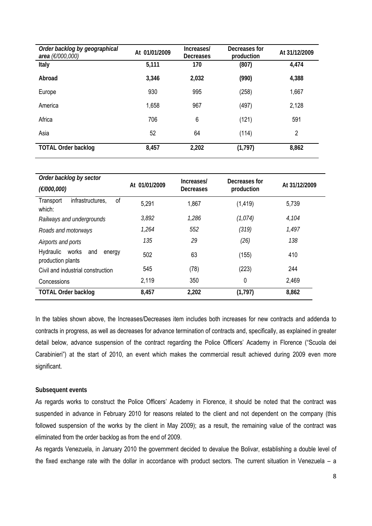| Order backlog by geographical<br>area (€/000,000) | At 01/01/2009 | Increases/<br>Decreases | Decreases for<br>production | At 31/12/2009 |  |
|---------------------------------------------------|---------------|-------------------------|-----------------------------|---------------|--|
| Italy                                             | 5,111         | 170                     | (807)                       | 4,474         |  |
| Abroad                                            | 3,346         | 2,032                   | (990)                       | 4,388         |  |
| Europe                                            | 930           | 995                     | (258)                       | 1,667         |  |
| America                                           | 1,658         | 967                     | (497)                       | 2,128         |  |
| Africa                                            | 706           | $6\phantom{1}6$         | (121)                       | 591           |  |
| Asia                                              | 52            | 64                      | (114)                       | 2             |  |
| <b>TOTAL Order backlog</b>                        | 8,457         | 2,202                   | (1,797)                     | 8,862         |  |

| Order backlog by sector                                  |               | Increases/ | Decreases for |               |
|----------------------------------------------------------|---------------|------------|---------------|---------------|
| (€/000,000)                                              | At 01/01/2009 | Decreases  | production    | At 31/12/2009 |
| of<br>infrastructures,<br>Transport<br>which:            | 5,291         | 1,867      | (1, 419)      | 5,739         |
| Railways and undergrounds                                | 3,892         | 1,286      | (1,074)       | 4,104         |
| Roads and motorways                                      | 1,264         | 552        | (319)         | 1,497         |
| Airports and ports                                       | 135           | 29         | (26)          | 138           |
| Hydraulic<br>works<br>and<br>energy<br>production plants | 502           | 63         | (155)         | 410           |
| Civil and industrial construction                        | 545           | (78)       | (223)         | 244           |
| Concessions                                              | 2,119         | 350        | 0             | 2,469         |
| <b>TOTAL Order backlog</b>                               | 8,457         | 2,202      | (1, 797)      | 8,862         |

In the tables shown above, the Increases/Decreases item includes both increases for new contracts and addenda to contracts in progress, as well as decreases for advance termination of contracts and, specifically, as explained in greater detail below, advance suspension of the contract regarding the Police Officers' Academy in Florence ("Scuola dei Carabinieri") at the start of 2010, an event which makes the commercial result achieved during 2009 even more significant.

#### **Subsequent events**

As regards works to construct the Police Officers' Academy in Florence, it should be noted that the contract was suspended in advance in February 2010 for reasons related to the client and not dependent on the company (this followed suspension of the works by the client in May 2009); as a result, the remaining value of the contract was eliminated from the order backlog as from the end of 2009.

As regards Venezuela, in January 2010 the government decided to devalue the Bolivar, establishing a double level of the fixed exchange rate with the dollar in accordance with product sectors. The current situation in Venezuela – a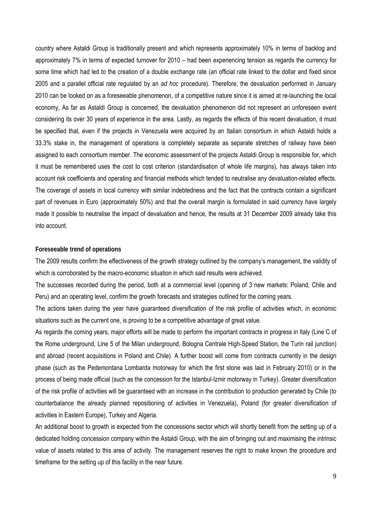country where Astaldi Group is traditionally present and which represents approximately 10% in terms of backlog and approximately 7% in terms of expected turnover for 2010 – had been experiencing tension as regards the currency for some time which had led to the creation of a double exchange rate (an official rate linked to the dollar and fixed since 2005 and a parallel official rate regulated by an *ad hoc* procedure). Therefore, the devaluation performed in January 2010 can be looked on as a foreseeable phenomenon, of a competitive nature since it is aimed at re-launching the local economy, As far as Astaldi Group is concerned, the devaluation phenomenon did not represent an unforeseen event considering its over 30 years of experience in the area. Lastly, as regards the effects of this recent devaluation, it must be specified that, even if the projects in Venezuela were acquired by an Italian consortium in which Astaldi holds a 33.3% stake in, the management of operations is completely separate as separate stretches of railway have been assigned to each consortium member. The economic assessment of the projects Astaldi Group is responsible for, which it must be remembered uses the cost to cost criterion (standardisation of whole life margins), has always taken into account risk coefficients and operating and financial methods which tended to neutralise any devaluation-related effects. The coverage of assets in local currency with similar indebtedness and the fact that the contracts contain a significant part of revenues in Euro (approximately 50%) and that the overall margin is formulated in said currency have largely made it possible to neutralise the impact of devaluation and hence, the results at 31 December 2009 already take this into account.

#### **Foreseeable trend of operations**

The 2009 results confirm the effectiveness of the growth strategy outlined by the company's management, the validity of which is corroborated by the macro-economic situation in which said results were achieved.

The successes recorded during the period, both at a commercial level (opening of 3 new markets: Poland, Chile and Peru) and an operating level, confirm the growth forecasts and strategies outlined for the coming years.

The actions taken during the year have guaranteed diversification of the risk profile of activities which, in economic situations such as the current one, is proving to be a competitive advantage of great value.

As regards the coming years, major efforts will be made to perform the important contracts in progress in Italy (Line C of the Rome underground, Line 5 of the Milan underground, Bologna Centrale High-Speed Station, the Turin rail junction) and abroad (recent acquisitions in Poland and Chile). A further boost will come from contracts currently in the design phase (such as the Pedemontana Lombarda motorway for which the first stone was laid in February 2010) or in the process of being made official (such as the concession for the Istanbul-Izmir motorway in Turkey). Greater diversification of the risk profile of activities will be guaranteed with an increase in the contribution to production generated by Chile (to counterbalance the already planned repositioning of activities in Venezuela), Poland (for greater diversification of activities in Eastern Europe), Turkey and Algeria.

An additional boost to growth is expected from the concessions sector which will shortly benefit from the setting up of a dedicated holding concession company within the Astaldi Group, with the aim of bringing out and maximising the intrinsic value of assets related to this area of activity. The management reserves the right to make known the procedure and timeframe for the setting up of this facility in the near future.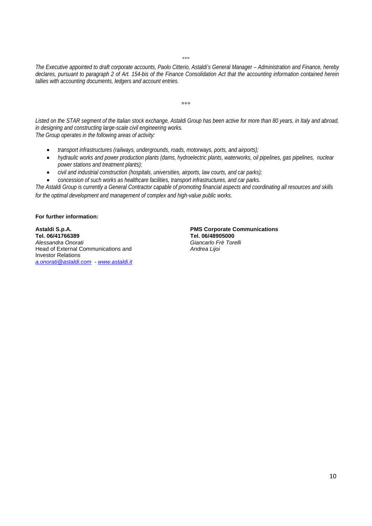$^{\circ}$ 

*The Executive appointed to draft corporate accounts, Paolo Citterio, Astaldi's General Manager – Administration and Finance, hereby declares, pursuant to paragraph 2 of Art. 154-bis of the Finance Consolidation Act that the accounting information contained herein tallies with accounting documents, ledgers and account entries.* 

 $000$ 

*Listed on the STAR segment of the Italian stock exchange, Astaldi Group has been active for more than 80 years, in Italy and abroad, in designing and constructing large-scale civil engineering works. The Group operates in the following areas of activity:* 

• *transport infrastructures (railways, undergrounds, roads, motorways, ports, and airports);* 

- *hydraulic works and power production plants (dams, hydroelectric plants, waterworks, oil pipelines, gas pipelines, nuclear power stations and treatment plants);*
- *civil and industrial construction (hospitals, universities, airports, law courts, and car parks);*
- *concession of such works as healthcare facilities, transport infrastructures, and car parks.*

*The Astaldi Group is currently a General Contractor capable of promoting financial aspects and coordinating all resources and skills for the optimal development and management of complex and high-value public works.* 

#### **For further information:**

**Astaldi S.p.A. PMS Corporate Communications Tel. 06/41766389**<br>Alessandra Onorati **Head of External Communications and** Investor Relations *a.onorati@astaldi.com* - *www.astaldi.it*

*Alessandra Onorati Giancarlo Frè Torelli*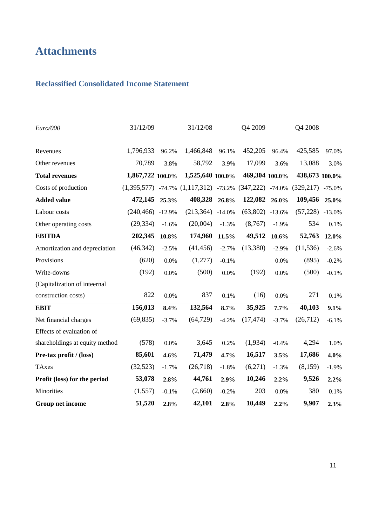# **Attachments**

# **Reclassified Consolidated Income Statement**

| Group net income               | 51,520           | 2.8%     | 42,101                             | 2.8%     | 10,449              | 2.2%     | 9,907          | 2.3%     |
|--------------------------------|------------------|----------|------------------------------------|----------|---------------------|----------|----------------|----------|
| Minorities                     | (1,557)          | $-0.1%$  | (2,660)                            | $-0.2%$  | 203                 | $0.0\%$  | 380            | 0.1%     |
| Profit (loss) for the period   | 53,078           | 2.8%     | 44,761                             | 2.9%     | 10,246              | 2.2%     | 9,526          | 2.2%     |
| <b>TAxes</b>                   | (32,523)         | $-1.7%$  | (26,718)                           | $-1.8%$  | (6,271)             | $-1.3%$  | (8,159)        | $-1.9%$  |
| Pre-tax profit / (loss)        | 85,601           | 4.6%     | 71,479                             | 4.7%     | 16,517              | 3.5%     | 17,686         | 4.0%     |
| shareholdings at equity method | (578)            | 0.0%     | 3,645                              | 0.2%     | (1,934)             | $-0.4%$  | 4,294          | 1.0%     |
| Effects of evaluation of       |                  |          |                                    |          |                     |          |                |          |
| Net financial charges          | (69, 835)        | $-3.7%$  | (64, 729)                          | $-4.2%$  | (17, 474)           | $-3.7%$  | (26, 712)      | $-6.1%$  |
| <b>EBIT</b>                    | 156,013          | 8.4%     | 132,564                            | 8.7%     | 35,925              | 7.7%     | 40,103         | 9.1%     |
| construction costs)            | 822              | 0.0%     | 837                                | 0.1%     | (16)                | $0.0\%$  | 271            | 0.1%     |
| (Capitalization of inteernal   |                  |          |                                    |          |                     |          |                |          |
| Write-downs                    | (192)            | 0.0%     | (500)                              | 0.0%     | (192)               | 0.0%     | (500)          | $-0.1%$  |
| Provisions                     | (620)            | 0.0%     | (1,277)                            | $-0.1%$  |                     | 0.0%     | (895)          | $-0.2%$  |
| Amortization and depreciation  | (46, 342)        | $-2.5%$  | (41, 456)                          | $-2.7%$  | (13,380)            | $-2.9%$  | (11, 536)      | $-2.6%$  |
| <b>EBITDA</b>                  | 202,345          | $10.8\%$ | 174,960                            | 11.5%    | 49,512              | 10.6%    | 52,763         | 12.0%    |
| Other operating costs          | (29, 334)        | $-1.6%$  | (20,004)                           | $-1.3%$  | (8,767)             | $-1.9%$  | 534            | 0.1%     |
| Labour costs                   | (240, 466)       | $-12.9%$ | (213, 364)                         | $-14.0%$ | (63, 802)           | $-13.6%$ | (57, 228)      | $-13.0%$ |
| <b>Added value</b>             | 472,145          | 25.3%    | 408,328                            | 26.8%    | 122,082             | 26.0%    | 109,456        | 25.0%    |
| Costs of production            |                  |          | $(1,395,577)$ -74.7% $(1,117,312)$ |          | $-73.2\%$ (347,222) | $-74.0%$ | (329, 217)     | $-75.0%$ |
| <b>Total revenues</b>          | 1,867,722 100.0% |          | 1,525,640 100.0%                   |          | 469,304 100.0%      |          | 438,673 100.0% |          |
| Other revenues                 | 70,789           | 3.8%     | 58,792                             | 3.9%     | 17,099              | 3.6%     | 13,088         | 3.0%     |
| Revenues                       | 1,796,933        | 96.2%    | 1,466,848                          | 96.1%    | 452,205             | 96.4%    | 425,585        | 97.0%    |
| Euro/000                       | 31/12/09         |          | 31/12/08                           |          | Q4 2009             |          | Q4 2008        |          |
|                                |                  |          |                                    |          |                     |          |                |          |